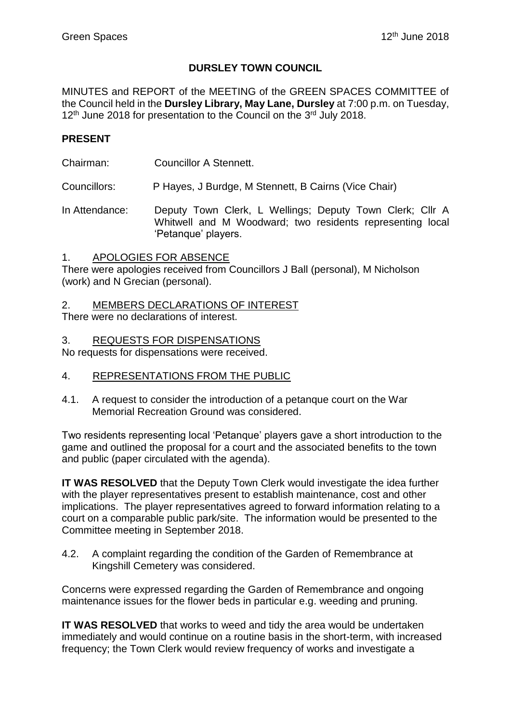## **DURSLEY TOWN COUNCIL**

MINUTES and REPORT of the MEETING of the GREEN SPACES COMMITTEE of the Council held in the **Dursley Library, May Lane, Dursley** at 7:00 p.m. on Tuesday, 12<sup>th</sup> June 2018 for presentation to the Council on the 3<sup>rd</sup> July 2018.

## **PRESENT**

Chairman: Councillor A Stennett.

Councillors: P Hayes, J Burdge, M Stennett, B Cairns (Vice Chair)

In Attendance: Deputy Town Clerk, L Wellings; Deputy Town Clerk; Cllr A Whitwell and M Woodward; two residents representing local 'Petanque' players.

### 1. APOLOGIES FOR ABSENCE

There were apologies received from Councillors J Ball (personal), M Nicholson (work) and N Grecian (personal).

## 2. MEMBERS DECLARATIONS OF INTEREST

There were no declarations of interest.

#### 3. REQUESTS FOR DISPENSATIONS

No requests for dispensations were received.

## 4. REPRESENTATIONS FROM THE PUBLIC

4.1. A request to consider the introduction of a petanque court on the War Memorial Recreation Ground was considered.

Two residents representing local 'Petanque' players gave a short introduction to the game and outlined the proposal for a court and the associated benefits to the town and public (paper circulated with the agenda).

**IT WAS RESOLVED** that the Deputy Town Clerk would investigate the idea further with the player representatives present to establish maintenance, cost and other implications. The player representatives agreed to forward information relating to a court on a comparable public park/site. The information would be presented to the Committee meeting in September 2018.

4.2. A complaint regarding the condition of the Garden of Remembrance at Kingshill Cemetery was considered.

Concerns were expressed regarding the Garden of Remembrance and ongoing maintenance issues for the flower beds in particular e.g. weeding and pruning.

**IT WAS RESOLVED** that works to weed and tidy the area would be undertaken immediately and would continue on a routine basis in the short-term, with increased frequency; the Town Clerk would review frequency of works and investigate a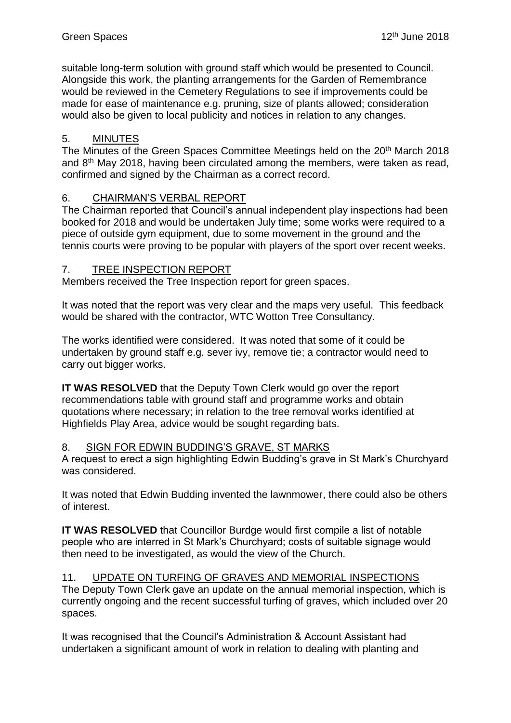suitable long-term solution with ground staff which would be presented to Council. Alongside this work, the planting arrangements for the Garden of Remembrance would be reviewed in the Cemetery Regulations to see if improvements could be made for ease of maintenance e.g. pruning, size of plants allowed; consideration would also be given to local publicity and notices in relation to any changes.

# 5. MINUTES

The Minutes of the Green Spaces Committee Meetings held on the 20th March 2018 and 8th May 2018, having been circulated among the members, were taken as read, confirmed and signed by the Chairman as a correct record.

# 6. CHAIRMAN'S VERBAL REPORT

The Chairman reported that Council's annual independent play inspections had been booked for 2018 and would be undertaken July time; some works were required to a piece of outside gym equipment, due to some movement in the ground and the tennis courts were proving to be popular with players of the sport over recent weeks.

# 7. TREE INSPECTION REPORT

Members received the Tree Inspection report for green spaces.

It was noted that the report was very clear and the maps very useful. This feedback would be shared with the contractor, WTC Wotton Tree Consultancy.

The works identified were considered. It was noted that some of it could be undertaken by ground staff e.g. sever ivy, remove tie; a contractor would need to carry out bigger works.

**IT WAS RESOLVED** that the Deputy Town Clerk would go over the report recommendations table with ground staff and programme works and obtain quotations where necessary; in relation to the tree removal works identified at Highfields Play Area, advice would be sought regarding bats.

# 8. SIGN FOR EDWIN BUDDING'S GRAVE, ST MARKS

A request to erect a sign highlighting Edwin Budding's grave in St Mark's Churchyard was considered.

It was noted that Edwin Budding invented the lawnmower, there could also be others of interest.

**IT WAS RESOLVED** that Councillor Burdge would first compile a list of notable people who are interred in St Mark's Churchyard; costs of suitable signage would then need to be investigated, as would the view of the Church.

## 11. UPDATE ON TURFING OF GRAVES AND MEMORIAL INSPECTIONS

The Deputy Town Clerk gave an update on the annual memorial inspection, which is currently ongoing and the recent successful turfing of graves, which included over 20 spaces.

It was recognised that the Council's Administration & Account Assistant had undertaken a significant amount of work in relation to dealing with planting and